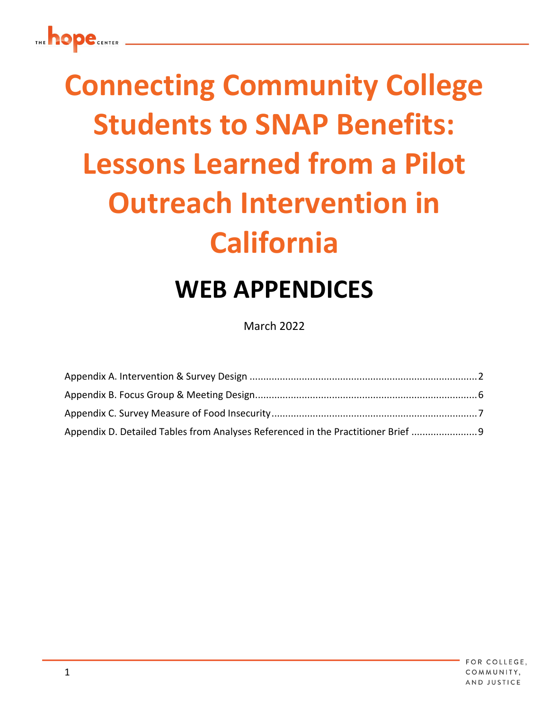# **Connecting Community College Students to SNAP Benefits: Lessons Learned from a Pilot Outreach Intervention in California**

## **WEB APPENDICES**

March 2022

| Appendix D. Detailed Tables from Analyses Referenced in the Practitioner Brief |  |
|--------------------------------------------------------------------------------|--|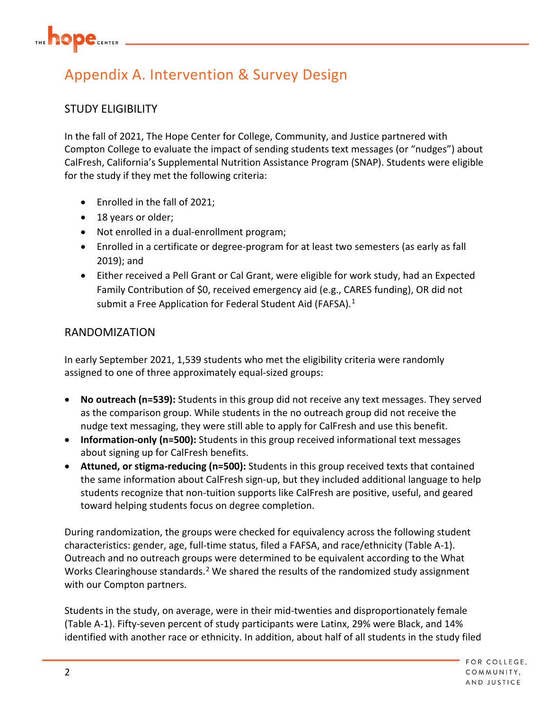## <span id="page-1-0"></span>Appendix A. Intervention & Survey Design

## STUDY ELIGIBILITY

In the fall of 2021, The Hope Center for College, Community, and Justice partnered with Compton College to evaluate the impact of sending students text messages (or "nudges") about CalFresh, California's Supplemental Nutrition Assistance Program (SNAP). Students were eligible for the study if they met the following criteria:

- Enrolled in the fall of 2021;
- 18 years or older;
- Not enrolled in a dual-enrollment program;
- Enrolled in a certificate or degree-program for at least two semesters (as early as fall 2019); and
- Either received a Pell Grant or Cal Grant, were eligible for work study, had an Expected Family Contribution of \$0, received emergency aid (e.g., CARES funding), OR did not submit a Free Application for Federal Student Aid (FAFSA).<sup>[1](#page-12-0)</sup>

## RANDOMIZATION

In early September 2021, 1,539 students who met the eligibility criteria were randomly assigned to one of three approximately equal-sized groups:

- **No outreach (n=539):** Students in this group did not receive any text messages. They served as the comparison group. While students in the no outreach group did not receive the nudge text messaging, they were still able to apply for CalFresh and use this benefit.
- **Information-only (n=500):** Students in this group received informational text messages about signing up for CalFresh benefits.
- **Attuned, or stigma-reducing (n=500):** Students in this group received texts that contained the same information about CalFresh sign-up, but they included additional language to help students recognize that non-tuition supports like CalFresh are positive, useful, and geared toward helping students focus on degree completion.

During randomization, the groups were checked for equivalency across the following student characteristics: gender, age, full-time status, filed a FAFSA, and race/ethnicity (Table A-1). Outreach and no outreach groups were determined to be equivalent according to the What Works Clearinghouse standards.[2](#page-12-1) We shared the results of the randomized study assignment with our Compton partners.

Students in the study, on average, were in their mid-twenties and disproportionately female (Table A-1). Fifty-seven percent of study participants were Latinx, 29% were Black, and 14% identified with another race or ethnicity. In addition, about half of all students in the study filed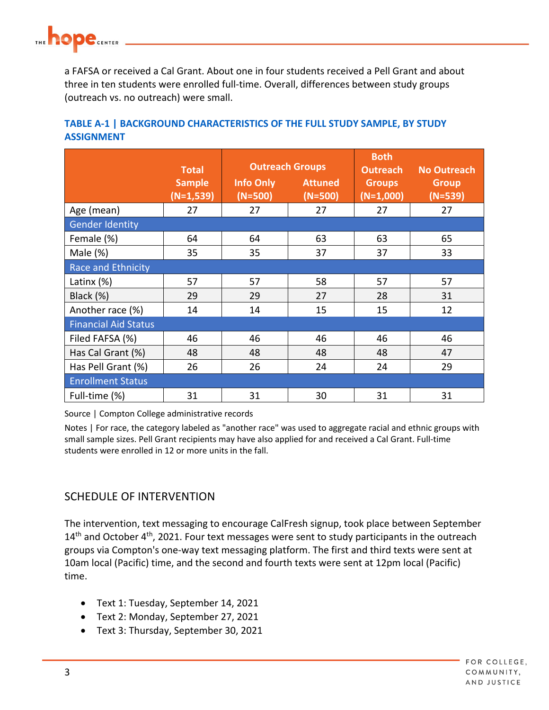a FAFSA or received a Cal Grant. About one in four students received a Pell Grant and about three in ten students were enrolled full-time. Overall, differences between study groups (outreach vs. no outreach) were small.

|                             | <b>Total</b>                 | <b>Outreach Groups</b> |                             | <b>Both</b><br><b>Outreach</b> | <b>No Outreach</b>        |  |
|-----------------------------|------------------------------|------------------------|-----------------------------|--------------------------------|---------------------------|--|
|                             | <b>Sample</b><br>$(N=1,539)$ | Info Only<br>$(N=500)$ | <b>Attuned</b><br>$(N=500)$ | <b>Groups</b><br>$(N=1,000)$   | <b>Group</b><br>$(N=539)$ |  |
| Age (mean)                  | 27                           | 27                     | 27                          | 27                             | 27                        |  |
| <b>Gender Identity</b>      |                              |                        |                             |                                |                           |  |
| Female (%)                  | 64                           | 64                     | 63                          | 63                             | 65                        |  |
| Male $(\%)$                 | 35                           | 35                     | 37                          | 37                             | 33                        |  |
| Race and Ethnicity          |                              |                        |                             |                                |                           |  |
| Latinx $(\%)$               | 57                           | 57                     | 58                          | 57                             | 57                        |  |
| Black (%)                   | 29                           | 29                     | 27                          | 28                             | 31                        |  |
| Another race (%)            | 14                           | 14                     | 15                          | 15                             | 12                        |  |
| <b>Financial Aid Status</b> |                              |                        |                             |                                |                           |  |
| Filed FAFSA (%)             | 46                           | 46                     | 46                          | 46                             | 46                        |  |
| Has Cal Grant (%)           | 48                           | 48                     | 48                          | 48                             | 47                        |  |
| Has Pell Grant (%)          | 26                           | 26                     | 24                          | 24                             | 29                        |  |
| <b>Enrollment Status</b>    |                              |                        |                             |                                |                           |  |
| Full-time (%)               | 31                           | 31                     | 30                          | 31                             | 31                        |  |

## **TABLE A-1 | BACKGROUND CHARACTERISTICS OF THE FULL STUDY SAMPLE, BY STUDY ASSIGNMENT**

Source | Compton College administrative records

Notes | For race, the category labeled as "another race" was used to aggregate racial and ethnic groups with small sample sizes. Pell Grant recipients may have also applied for and received a Cal Grant. Full-time students were enrolled in 12 or more units in the fall.

## SCHEDULE OF INTERVENTION

The intervention, text messaging to encourage CalFresh signup, took place between September  $14<sup>th</sup>$  and October  $4<sup>th</sup>$ , 2021. Four text messages were sent to study participants in the outreach groups via Compton's one-way text messaging platform. The first and third texts were sent at 10am local (Pacific) time, and the second and fourth texts were sent at 12pm local (Pacific) time.

- Text 1: Tuesday, September 14, 2021
- Text 2: Monday, September 27, 2021
- Text 3: Thursday, September 30, 2021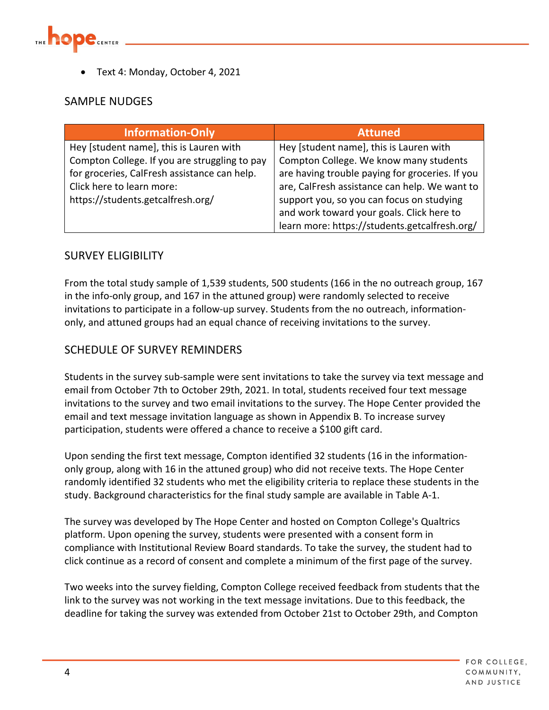

• Text 4: Monday, October 4, 2021

## SAMPLE NUDGES

| <b>Information-Only</b>                       | <b>Attuned</b>                                  |
|-----------------------------------------------|-------------------------------------------------|
| Hey [student name], this is Lauren with       | Hey [student name], this is Lauren with         |
| Compton College. If you are struggling to pay | Compton College. We know many students          |
| for groceries, CalFresh assistance can help.  | are having trouble paying for groceries. If you |
| Click here to learn more:                     | are, CalFresh assistance can help. We want to   |
| https://students.getcalfresh.org/             | support you, so you can focus on studying       |
|                                               | and work toward your goals. Click here to       |
|                                               | learn more: https://students.getcalfresh.org/   |

## SURVEY ELIGIBILITY

From the total study sample of 1,539 students, 500 students (166 in the no outreach group, 167 in the info-only group, and 167 in the attuned group) were randomly selected to receive invitations to participate in a follow-up survey. Students from the no outreach, informationonly, and attuned groups had an equal chance of receiving invitations to the survey.

## SCHEDULE OF SURVEY REMINDERS

Students in the survey sub-sample were sent invitations to take the survey via text message and email from October 7th to October 29th, 2021. In total, students received four text message invitations to the survey and two email invitations to the survey. The Hope Center provided the email and text message invitation language as shown in Appendix B. To increase survey participation, students were offered a chance to receive a \$100 gift card.

Upon sending the first text message, Compton identified 32 students (16 in the informationonly group, along with 16 in the attuned group) who did not receive texts. The Hope Center randomly identified 32 students who met the eligibility criteria to replace these students in the study. Background characteristics for the final study sample are available in Table A-1.

The survey was developed by The Hope Center and hosted on Compton College's Qualtrics platform. Upon opening the survey, students were presented with a consent form in compliance with Institutional Review Board standards. To take the survey, the student had to click continue as a record of consent and complete a minimum of the first page of the survey.

Two weeks into the survey fielding, Compton College received feedback from students that the link to the survey was not working in the text message invitations. Due to this feedback, the deadline for taking the survey was extended from October 21st to October 29th, and Compton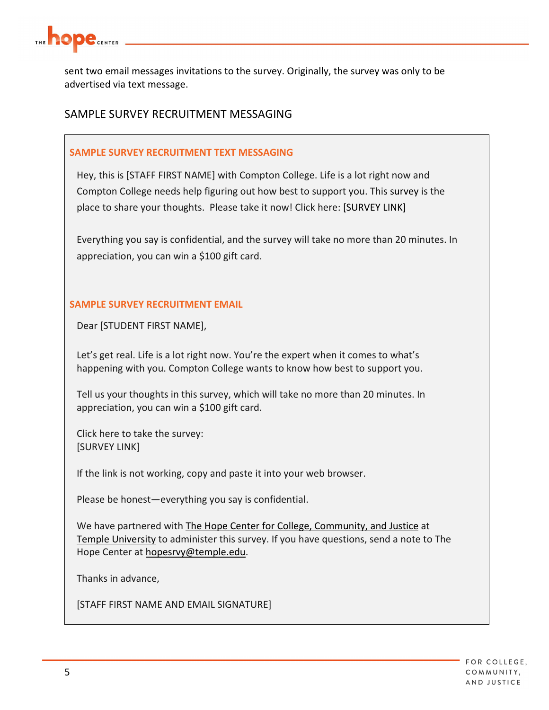

sent two email messages invitations to the survey. Originally, the survey was only to be advertised via text message.

## SAMPLE SURVEY RECRUITMENT MESSAGING

### **SAMPLE SURVEY RECRUITMENT TEXT MESSAGING**

Hey, this is [STAFF FIRST NAME] with Compton College. Life is a lot right now and Compton College needs help figuring out how best to support you. This survey is the place to share your thoughts. Please take it now! Click here: [SURVEY LINK]

Everything you say is confidential, and the survey will take no more than 20 minutes. In appreciation, you can win a \$100 gift card.

## **SAMPLE SURVEY RECRUITMENT EMAIL**

Dear [STUDENT FIRST NAME],

Let's get real. Life is a lot right now. You're the expert when it comes to what's happening with you. Compton College wants to know how best to support you.

Tell us your thoughts in this survey, which will take no more than 20 minutes. In appreciation, you can win a \$100 gift card.

Click here to take the survey: [SURVEY LINK]

If the link is not working, copy and paste it into your web browser.

Please be honest—everything you say is confidential.

We have partnered with [The Hope Center for College, Community, and Justice](https://hope4college.com/) at [Temple University](https://www.temple.edu/) to administer this survey. If you have questions, send a note to The Hope Center at [hopesrvy@temple.edu.](mailto:hopesrvy@temple.edu?subject=Dallas%20College%20Survey)

Thanks in advance,

[STAFF FIRST NAME AND EMAIL SIGNATURE]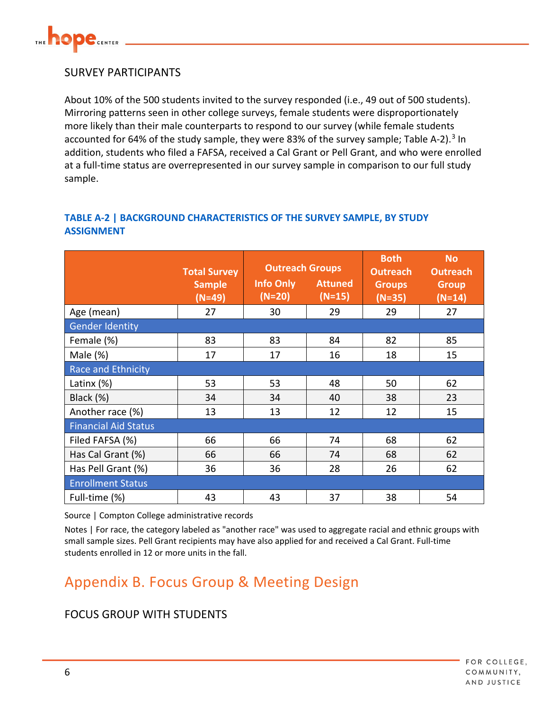

## SURVEY PARTICIPANTS

About 10% of the 500 students invited to the survey responded (i.e., 49 out of 500 students). Mirroring patterns seen in other college surveys, female students were disproportionately more likely than their male counterparts to respond to our survey (while female students accounted for 64% of the study sample, they were 8[3](#page-12-2)% of the survey sample; Table A-2).<sup>3</sup> In addition, students who filed a FAFSA, received a Cal Grant or Pell Grant, and who were enrolled at a full-time status are overrepresented in our survey sample in comparison to our full study sample.

## **TABLE A-2 | BACKGROUND CHARACTERISTICS OF THE SURVEY SAMPLE, BY STUDY ASSIGNMENT**

|                             | <b>Total Survey</b>       | <b>Outreach Groups</b>       |                            | <b>Both</b><br><b>Outreach</b> | N <sub>o</sub><br><b>Outreach</b> |
|-----------------------------|---------------------------|------------------------------|----------------------------|--------------------------------|-----------------------------------|
|                             | <b>Sample</b><br>$(N=49)$ | <b>Info Only</b><br>$(N=20)$ | <b>Attuned</b><br>$(N=15)$ | <b>Groups</b><br>$(N=35)$      | <b>Group</b><br>$(N=14)$          |
| Age (mean)                  | 27                        | 30                           | 29                         | 29                             | 27                                |
| <b>Gender Identity</b>      |                           |                              |                            |                                |                                   |
| Female (%)                  | 83                        | 83                           | 84                         | 82                             | 85                                |
| Male $(\%)$                 | 17                        | 17                           | 16                         | 18                             | 15                                |
| <b>Race and Ethnicity</b>   |                           |                              |                            |                                |                                   |
| Latinx $(\%)$               | 53                        | 53                           | 48                         | 50                             | 62                                |
| Black (%)                   | 34                        | 34                           | 40                         | 38                             | 23                                |
| Another race (%)            | 13                        | 13                           | 12                         | 12                             | 15                                |
| <b>Financial Aid Status</b> |                           |                              |                            |                                |                                   |
| Filed FAFSA (%)             | 66                        | 66                           | 74                         | 68                             | 62                                |
| Has Cal Grant (%)           | 66                        | 66                           | 74                         | 68                             | 62                                |
| Has Pell Grant (%)          | 36                        | 36                           | 28                         | 26                             | 62                                |
| <b>Enrollment Status</b>    |                           |                              |                            |                                |                                   |
| Full-time (%)               | 43                        | 43                           | 37                         | 38                             | 54                                |

Source | Compton College administrative records

Notes | For race, the category labeled as "another race" was used to aggregate racial and ethnic groups with small sample sizes. Pell Grant recipients may have also applied for and received a Cal Grant. Full-time students enrolled in 12 or more units in the fall.

## <span id="page-5-0"></span>Appendix B. Focus Group & Meeting Design

## FOCUS GROUP WITH STUDENTS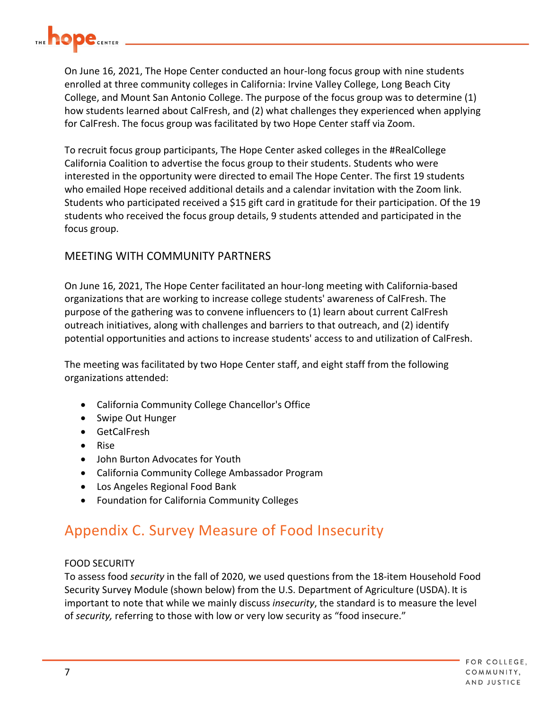

On June 16, 2021, The Hope Center conducted an hour-long focus group with nine students enrolled at three community colleges in California: Irvine Valley College, Long Beach City College, and Mount San Antonio College. The purpose of the focus group was to determine (1) how students learned about CalFresh, and (2) what challenges they experienced when applying for CalFresh. The focus group was facilitated by two Hope Center staff via Zoom.

To recruit focus group participants, The Hope Center asked colleges in the #RealCollege California Coalition to advertise the focus group to their students. Students who were interested in the opportunity were directed to email The Hope Center. The first 19 students who emailed Hope received additional details and a calendar invitation with the Zoom link. Students who participated received a \$15 gift card in gratitude for their participation. Of the 19 students who received the focus group details, 9 students attended and participated in the focus group.

## MEETING WITH COMMUNITY PARTNERS

On June 16, 2021, The Hope Center facilitated an hour-long meeting with California-based organizations that are working to increase college students' awareness of CalFresh. The purpose of the gathering was to convene influencers to (1) learn about current CalFresh outreach initiatives, along with challenges and barriers to that outreach, and (2) identify potential opportunities and actions to increase students' access to and utilization of CalFresh.

The meeting was facilitated by two Hope Center staff, and eight staff from the following organizations attended:

- California Community College Chancellor's Office
- Swipe Out Hunger
- GetCalFresh
- Rise
- John Burton Advocates for Youth
- California Community College Ambassador Program
- Los Angeles Regional Food Bank
- Foundation for California Community Colleges

## <span id="page-6-0"></span>Appendix C. Survey Measure of Food Insecurity

#### FOOD SECURITY

To assess food *security* in the fall of 2020, we used questions from the 18-item Household Food Security Survey Module (shown below) from the U.S. Department of Agriculture (USDA). It is important to note that while we mainly discuss *insecurity*, the standard is to measure the level of *security,* referring to those with low or very low security as "food insecure."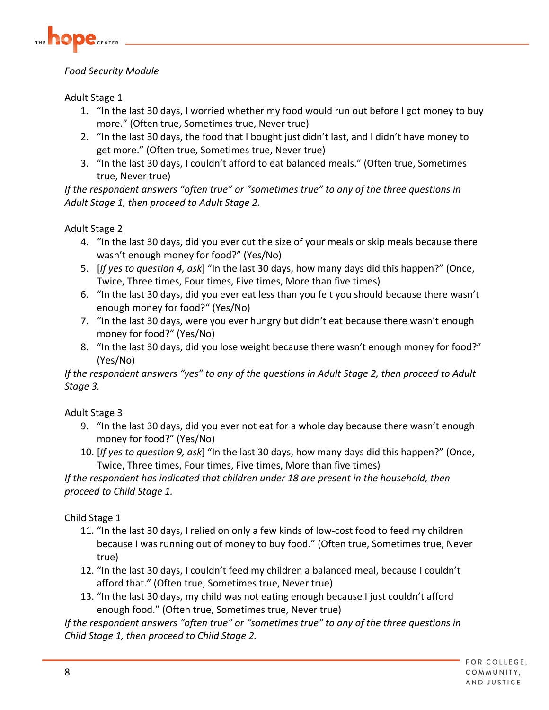

## *Food Security Module*

Adult Stage 1

- 1. "In the last 30 days, I worried whether my food would run out before I got money to buy more." (Often true, Sometimes true, Never true)
- 2. "In the last 30 days, the food that I bought just didn't last, and I didn't have money to get more." (Often true, Sometimes true, Never true)
- 3. "In the last 30 days, I couldn't afford to eat balanced meals." (Often true, Sometimes true, Never true)

*If the respondent answers "often true" or "sometimes true" to any of the three questions in Adult Stage 1, then proceed to Adult Stage 2.*

Adult Stage 2

- 4. "In the last 30 days, did you ever cut the size of your meals or skip meals because there wasn't enough money for food?" (Yes/No)
- 5. [*If yes to question 4, ask*] "In the last 30 days, how many days did this happen?" (Once, Twice, Three times, Four times, Five times, More than five times)
- 6. "In the last 30 days, did you ever eat less than you felt you should because there wasn't enough money for food?" (Yes/No)
- 7. "In the last 30 days, were you ever hungry but didn't eat because there wasn't enough money for food?" (Yes/No)
- 8. "In the last 30 days, did you lose weight because there wasn't enough money for food?" (Yes/No)

*If the respondent answers "yes" to any of the questions in Adult Stage 2, then proceed to Adult Stage 3.*

Adult Stage 3

- 9. "In the last 30 days, did you ever not eat for a whole day because there wasn't enough money for food?" (Yes/No)
- 10. [*If yes to question 9, ask*] "In the last 30 days, how many days did this happen?" (Once, Twice, Three times, Four times, Five times, More than five times)

*If the respondent has indicated that children under 18 are present in the household, then proceed to Child Stage 1.*

Child Stage 1

- 11. "In the last 30 days, I relied on only a few kinds of low-cost food to feed my children because I was running out of money to buy food." (Often true, Sometimes true, Never true)
- 12. "In the last 30 days, I couldn't feed my children a balanced meal, because I couldn't afford that." (Often true, Sometimes true, Never true)
- 13. "In the last 30 days, my child was not eating enough because I just couldn't afford enough food." (Often true, Sometimes true, Never true)

*If the respondent answers "often true" or "sometimes true" to any of the three questions in Child Stage 1, then proceed to Child Stage 2.*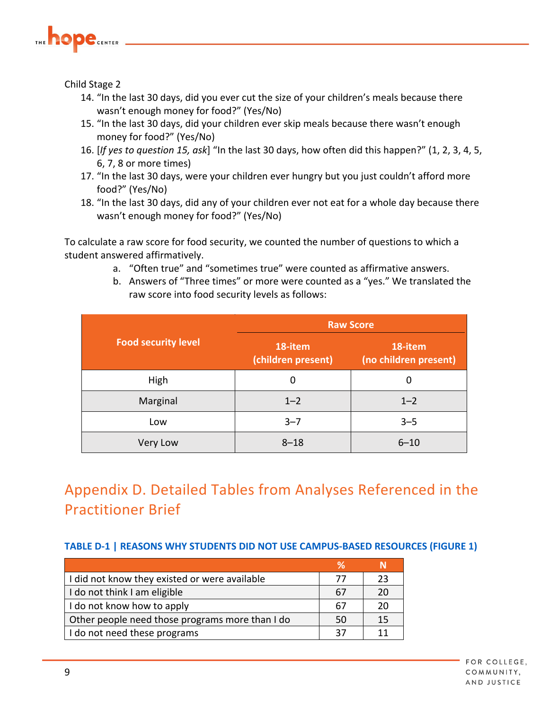

Child Stage 2

- 14. "In the last 30 days, did you ever cut the size of your children's meals because there wasn't enough money for food?" (Yes/No)
- 15. "In the last 30 days, did your children ever skip meals because there wasn't enough money for food?" (Yes/No)
- 16. [*If yes to question 15, ask*] "In the last 30 days, how often did this happen?" (1, 2, 3, 4, 5, 6, 7, 8 or more times)
- 17. "In the last 30 days, were your children ever hungry but you just couldn't afford more food?" (Yes/No)
- 18. "In the last 30 days, did any of your children ever not eat for a whole day because there wasn't enough money for food?" (Yes/No)

To calculate a raw score for food security, we counted the number of questions to which a student answered affirmatively.

- a. "Often true" and "sometimes true" were counted as affirmative answers.
- b. Answers of "Three times" or more were counted as a "yes." We translated the raw score into food security levels as follows:

|                            | <b>Raw Score</b>              |                                  |  |  |
|----------------------------|-------------------------------|----------------------------------|--|--|
| <b>Food security level</b> | 18-item<br>(children present) | 18-item<br>(no children present) |  |  |
| High                       | 0                             | 0                                |  |  |
| Marginal                   | $1 - 2$                       | $1 - 2$                          |  |  |
| Low                        | $3 - 7$                       | $3 - 5$                          |  |  |
| Very Low                   | $8 - 18$                      | $6 - 10$                         |  |  |

## <span id="page-8-0"></span>Appendix D. Detailed Tables from Analyses Referenced in the Practitioner Brief

## **TABLE D-1 | REASONS WHY STUDENTS DID NOT USE CAMPUS-BASED RESOURCES (FIGURE 1)**

| I did not know they existed or were available   | 77 | 23 |
|-------------------------------------------------|----|----|
| I do not think I am eligible                    | 67 | 20 |
| I do not know how to apply                      | 67 | 20 |
| Other people need those programs more than I do | 50 | 15 |
| I do not need these programs                    | 37 |    |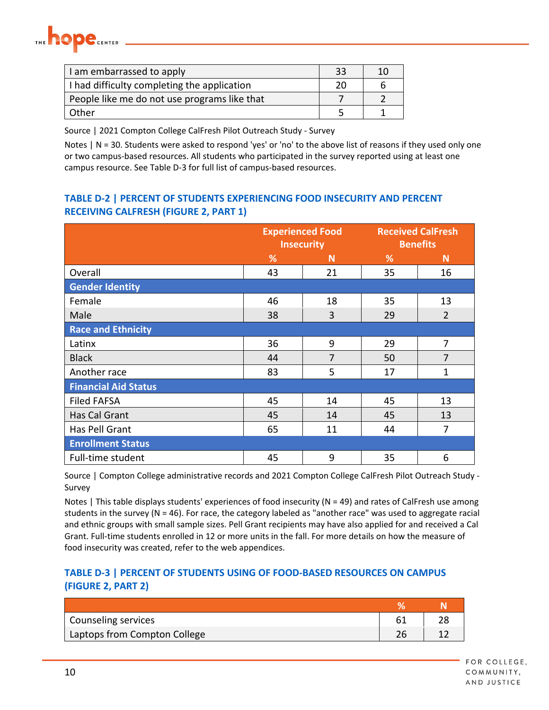

| I am embarrassed to apply                    | 33 | 10 |
|----------------------------------------------|----|----|
| I had difficulty completing the application  | 20 |    |
| People like me do not use programs like that |    |    |
| Other                                        |    |    |

Source | 2021 Compton College CalFresh Pilot Outreach Study - Survey

Notes | N = 30. Students were asked to respond 'yes' or 'no' to the above list of reasons if they used only one or two campus-based resources. All students who participated in the survey reported using at least one campus resource. See Table D-3 for full list of campus-based resources.

### **TABLE D-2 | PERCENT OF STUDENTS EXPERIENCING FOOD INSECURITY AND PERCENT RECEIVING CALFRESH (FIGURE 2, PART 1)**

|                             | <b>Experienced Food</b><br><b>Insecurity</b> |                | <b>Received CalFresh</b> | <b>Benefits</b> |  |
|-----------------------------|----------------------------------------------|----------------|--------------------------|-----------------|--|
|                             | %                                            | N              | %                        | N               |  |
| Overall                     | 43                                           | 21             | 35                       | 16              |  |
| <b>Gender Identity</b>      |                                              |                |                          |                 |  |
| Female                      | 46                                           | 18             | 35                       | 13              |  |
| Male                        | 38                                           | $\overline{3}$ | 29                       | $\overline{2}$  |  |
| <b>Race and Ethnicity</b>   |                                              |                |                          |                 |  |
| Latinx                      | 36                                           | 9              | 29                       | 7               |  |
| <b>Black</b>                | 44                                           | $\overline{7}$ | 50                       | $\overline{7}$  |  |
| Another race                | 83                                           | 5              | 17                       | 1               |  |
| <b>Financial Aid Status</b> |                                              |                |                          |                 |  |
| <b>Filed FAFSA</b>          | 45                                           | 14             | 45                       | 13              |  |
| Has Cal Grant               | 45                                           | 14             | 45                       | 13              |  |
| Has Pell Grant              | 65                                           | 11             | 44                       | 7               |  |
| <b>Enrollment Status</b>    |                                              |                |                          |                 |  |
| Full-time student           | 45                                           | 9              | 35                       | 6               |  |

Source | Compton College administrative records and 2021 Compton College CalFresh Pilot Outreach Study - Survey

Notes | This table displays students' experiences of food insecurity (N = 49) and rates of CalFresh use among students in the survey (N = 46). For race, the category labeled as "another race" was used to aggregate racial and ethnic groups with small sample sizes. Pell Grant recipients may have also applied for and received a Cal Grant. Full-time students enrolled in 12 or more units in the fall. For more details on how the measure of food insecurity was created, refer to the web appendices.

## **TABLE D-3 | PERCENT OF STUDENTS USING OF FOOD-BASED RESOURCES ON CAMPUS (FIGURE 2, PART 2)**

| Counseling services          |               |  |
|------------------------------|---------------|--|
| Laptops from Compton College | $\mathcal{L}$ |  |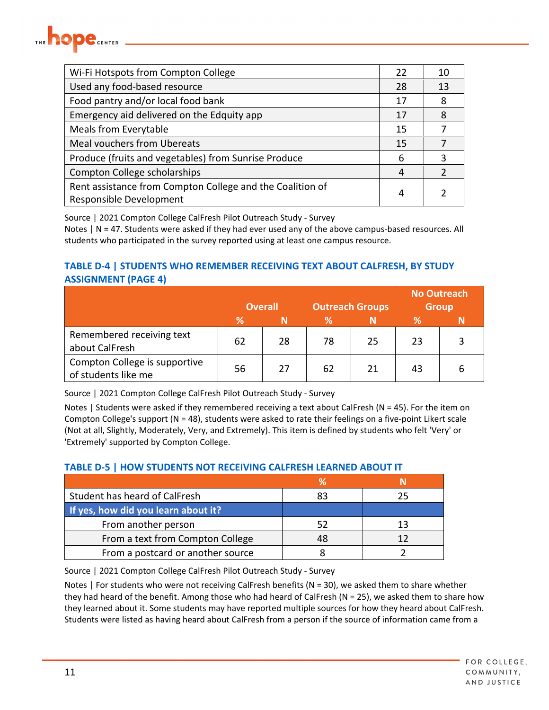

| Wi-Fi Hotspots from Compton College                                                  | 22 | 10 |
|--------------------------------------------------------------------------------------|----|----|
| Used any food-based resource                                                         | 28 | 13 |
| Food pantry and/or local food bank                                                   | 17 | 8  |
| Emergency aid delivered on the Edquity app                                           | 17 | 8  |
| <b>Meals from Everytable</b>                                                         | 15 |    |
| <b>Meal vouchers from Ubereats</b>                                                   | 15 |    |
| Produce (fruits and vegetables) from Sunrise Produce                                 | 6  | 3  |
| Compton College scholarships                                                         | 4  | 2  |
| Rent assistance from Compton College and the Coalition of<br>Responsible Development | 4  |    |

Source | 2021 Compton College CalFresh Pilot Outreach Study - Survey

Notes | N = 47. Students were asked if they had ever used any of the above campus-based resources. All students who participated in the survey reported using at least one campus resource.

## **TABLE D-4 | STUDENTS WHO REMEMBER RECEIVING TEXT ABOUT CALFRESH, BY STUDY ASSIGNMENT (PAGE 4)**

|                                                      |    | <b>Overall</b> | <b>Outreach Groups</b> |    |    | <b>No Outreach</b><br><b>Group</b> |
|------------------------------------------------------|----|----------------|------------------------|----|----|------------------------------------|
|                                                      | ℅  | N              | ℅                      | Ν  | %  |                                    |
| Remembered receiving text<br>about CalFresh          | 62 | 28             | 78                     | 25 | 23 |                                    |
| Compton College is supportive<br>of students like me | 56 | 27             | 62                     | 21 | 43 | ь                                  |

Source | 2021 Compton College CalFresh Pilot Outreach Study - Survey

Notes | Students were asked if they remembered receiving a text about CalFresh (N = 45). For the item on Compton College's support (N = 48), students were asked to rate their feelings on a five-point Likert scale (Not at all, Slightly, Moderately, Very, and Extremely). This item is defined by students who felt 'Very' or 'Extremely' supported by Compton College.

#### **TABLE D-5 | HOW STUDENTS NOT RECEIVING CALFRESH LEARNED ABOUT IT**

| Student has heard of CalFresh       | 83 | 25 |
|-------------------------------------|----|----|
| If yes, how did you learn about it? |    |    |
| From another person                 |    | 13 |
| From a text from Compton College    | 48 |    |
| From a postcard or another source   |    |    |

Source | 2021 Compton College CalFresh Pilot Outreach Study - Survey

Notes | For students who were not receiving CalFresh benefits ( $N = 30$ ), we asked them to share whether they had heard of the benefit. Among those who had heard of CalFresh ( $N = 25$ ), we asked them to share how they learned about it. Some students may have reported multiple sources for how they heard about CalFresh. Students were listed as having heard about CalFresh from a person if the source of information came from a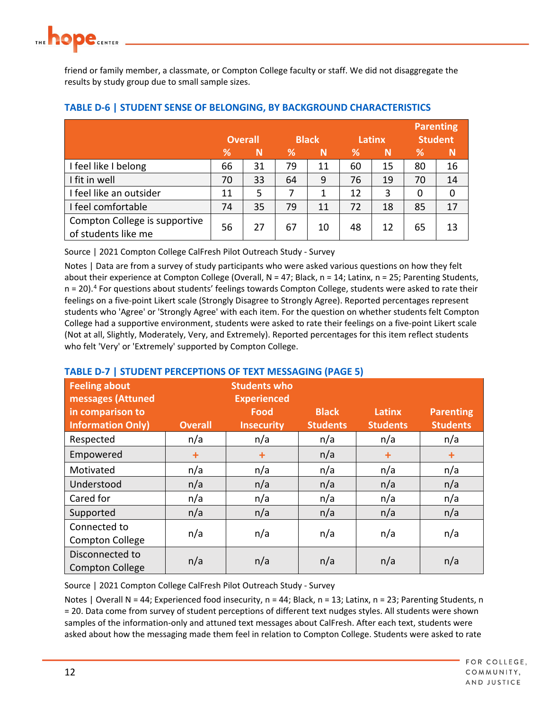friend or family member, a classmate, or Compton College faculty or staff. We did not disaggregate the results by study group due to small sample sizes.

|                                                      |                |    |              |    |        |              | <b>Parenting</b> |              |
|------------------------------------------------------|----------------|----|--------------|----|--------|--------------|------------------|--------------|
|                                                      | <b>Overall</b> |    | <b>Black</b> |    | Latinx |              | <b>Student</b>   |              |
|                                                      | %              | N  | ℅            | N  | ℅      | $\mathsf{N}$ | ℅                | $\mathsf{N}$ |
| I feel like I belong                                 | 66             | 31 | 79           | 11 | 60     | 15           | 80               | 16           |
| I fit in well                                        | 70             | 33 | 64           | 9  | 76     | 19           | 70               | 14           |
| I feel like an outsider                              | 11             | 5  | 7            | 1  | 12     | 3            | 0                | 0            |
| I feel comfortable                                   | 74             | 35 | 79           | 11 | 72     | 18           | 85               | 17           |
| Compton College is supportive<br>of students like me | 56             | 27 | 67           | 10 | 48     | 12           | 65               | 13           |

#### **TABLE D-6 | STUDENT SENSE OF BELONGING, BY BACKGROUND CHARACTERISTICS**

Source | 2021 Compton College CalFresh Pilot Outreach Study - Survey

Notes | Data are from a survey of study participants who were asked various questions on how they felt about their experience at Compton College (Overall, N = 47; Black, n = 14; Latinx, n = 25; Parenting Students,  $n = 20$ .<sup>4</sup> For questions about students' feelings towards Compton College, students were asked to rate their feelings on a five-point Likert scale (Strongly Disagree to Strongly Agree). Reported percentages represent students who 'Agree' or 'Strongly Agree' with each item. For the question on whether students felt Compton College had a supportive environment, students were asked to rate their feelings on a five-point Likert scale (Not at all, Slightly, Moderately, Very, and Extremely). Reported percentages for this item reflect students who felt 'Very' or 'Extremely' supported by Compton College.

## **TABLE D-7 | STUDENT PERCEPTIONS OF TEXT MESSAGING (PAGE 5)**

| <b>Feeling about</b><br>messages (Attuned<br>in comparison to<br><b>Information Only)</b> | <b>Overall</b> | <b>Students who</b><br><b>Experienced</b><br>Food<br><b>Insecurity</b> | <b>Black</b><br><b>Students</b> | Latinx<br><b>Students</b> | <b>Parenting</b><br><b>Students</b> |
|-------------------------------------------------------------------------------------------|----------------|------------------------------------------------------------------------|---------------------------------|---------------------------|-------------------------------------|
| Respected                                                                                 | n/a            | n/a                                                                    | n/a                             | n/a                       | n/a                                 |
| Empowered                                                                                 | $\ddot{}$      | $\ddot{}$                                                              | n/a                             | $\ddot{}$                 | $+$                                 |
| Motivated                                                                                 | n/a            | n/a                                                                    | n/a                             | n/a                       | n/a                                 |
| Understood                                                                                | n/a            | n/a                                                                    | n/a                             | n/a                       | n/a                                 |
| Cared for                                                                                 | n/a            | n/a                                                                    | n/a                             | n/a                       | n/a                                 |
| Supported                                                                                 | n/a            | n/a                                                                    | n/a                             | n/a                       | n/a                                 |
| Connected to<br><b>Compton College</b>                                                    | n/a            | n/a                                                                    | n/a                             | n/a                       | n/a                                 |
| Disconnected to<br><b>Compton College</b>                                                 | n/a            | n/a                                                                    | n/a                             | n/a                       | n/a                                 |

Source | 2021 Compton College CalFresh Pilot Outreach Study - Survey

Notes | Overall N = 44; Experienced food insecurity,  $n = 44$ ; Black,  $n = 13$ ; Latinx,  $n = 23$ ; Parenting Students, n = 20. Data come from survey of student perceptions of different text nudges styles. All students were shown samples of the information-only and attuned text messages about CalFresh. After each text, students were asked about how the messaging made them feel in relation to Compton College. Students were asked to rate